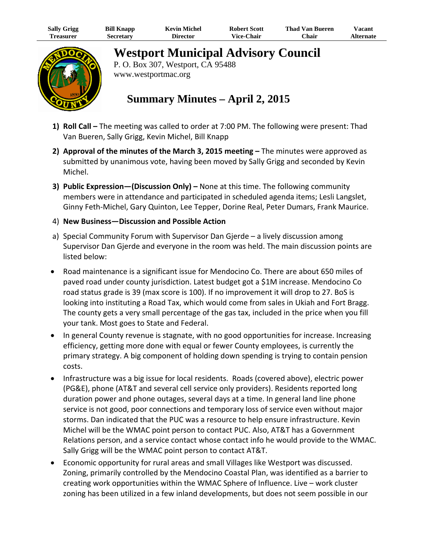| <b>Sally Grigg</b> | <b>Bill Knapp</b> | <b>Kevin Michel</b> | <b>Robert Scott</b> | Thad Van Bueren | $v_{\rm{acant}}$ |
|--------------------|-------------------|---------------------|---------------------|-----------------|------------------|
| <b>reasurer</b>    | Secretary         | Director            | <b>Vice-Chair</b>   | $^n$ hair       | Alternate        |



**Westport Municipal Advisory Council** 

P. O. Box 307, Westport, CA 95488 www.westportmac.org

## **Summary Minutes – April 2, 2015**

- **1) Roll Call –** The meeting was called to order at 7:00 PM. The following were present: Thad Van Bueren, Sally Grigg, Kevin Michel, Bill Knapp
- **2) Approval of the minutes of the March 3, 2015 meeting –** The minutes were approved as submitted by unanimous vote, having been moved by Sally Grigg and seconded by Kevin Michel.
- **3) Public Expression—(Discussion Only) –** None at this time. The following community members were in attendance and participated in scheduled agenda items; Lesli Langslet, Ginny Feth‐Michel, Gary Quinton, Lee Tepper, Dorine Real, Peter Dumars, Frank Maurice.

## 4) **New Business—Discussion and Possible Action**

- a) Special Community Forum with Supervisor Dan Gjerde a lively discussion among Supervisor Dan Gjerde and everyone in the room was held. The main discussion points are listed below:
- Road maintenance is a significant issue for Mendocino Co. There are about 650 miles of paved road under county jurisdiction. Latest budget got a \$1M increase. Mendocino Co road status grade is 39 (max score is 100). If no improvement it will drop to 27. BoS is looking into instituting a Road Tax, which would come from sales in Ukiah and Fort Bragg. The county gets a very small percentage of the gas tax, included in the price when you fill your tank. Most goes to State and Federal.
- In general County revenue is stagnate, with no good opportunities for increase. Increasing efficiency, getting more done with equal or fewer County employees, is currently the primary strategy. A big component of holding down spending is trying to contain pension costs.
- Infrastructure was a big issue for local residents. Roads (covered above), electric power (PG&E), phone (AT&T and several cell service only providers). Residents reported long duration power and phone outages, several days at a time. In general land line phone service is not good, poor connections and temporary loss of service even without major storms. Dan indicated that the PUC was a resource to help ensure infrastructure. Kevin Michel will be the WMAC point person to contact PUC. Also, AT&T has a Government Relations person, and a service contact whose contact info he would provide to the WMAC. Sally Grigg will be the WMAC point person to contact AT&T.
- Economic opportunity for rural areas and small Villages like Westport was discussed. Zoning, primarily controlled by the Mendocino Coastal Plan, was identified as a barrier to creating work opportunities within the WMAC Sphere of Influence. Live – work cluster zoning has been utilized in a few inland developments, but does not seem possible in our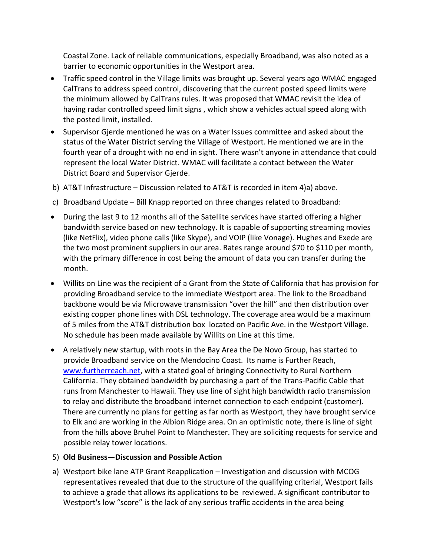Coastal Zone. Lack of reliable communications, especially Broadband, was also noted as a barrier to economic opportunities in the Westport area.

- Traffic speed control in the Village limits was brought up. Several years ago WMAC engaged CalTrans to address speed control, discovering that the current posted speed limits were the minimum allowed by CalTrans rules. It was proposed that WMAC revisit the idea of having radar controlled speed limit signs , which show a vehicles actual speed along with the posted limit, installed.
- Supervisor Gjerde mentioned he was on a Water Issues committee and asked about the status of the Water District serving the Village of Westport. He mentioned we are in the fourth year of a drought with no end in sight. There wasn't anyone in attendance that could represent the local Water District. WMAC will facilitate a contact between the Water District Board and Supervisor Gjerde.
- b) AT&T Infrastructure Discussion related to AT&T is recorded in item 4)a) above.
- c) Broadband Update Bill Knapp reported on three changes related to Broadband:
- During the last 9 to 12 months all of the Satellite services have started offering a higher bandwidth service based on new technology. It is capable of supporting streaming movies (like NetFlix), video phone calls (like Skype), and VOIP (like Vonage). Hughes and Exede are the two most prominent suppliers in our area. Rates range around \$70 to \$110 per month, with the primary difference in cost being the amount of data you can transfer during the month.
- Willits on Line was the recipient of a Grant from the State of California that has provision for providing Broadband service to the immediate Westport area. The link to the Broadband backbone would be via Microwave transmission "over the hill" and then distribution over existing copper phone lines with DSL technology. The coverage area would be a maximum of 5 miles from the AT&T distribution box located on Pacific Ave. in the Westport Village. No schedule has been made available by Willits on Line at this time.
- A relatively new startup, with roots in the Bay Area the De Novo Group, has started to provide Broadband service on the Mendocino Coast. Its name is Further Reach, www.furtherreach.net, with a stated goal of bringing Connectivity to Rural Northern California. They obtained bandwidth by purchasing a part of the Trans‐Pacific Cable that runs from Manchester to Hawaii. They use line of sight high bandwidth radio transmission to relay and distribute the broadband internet connection to each endpoint (customer). There are currently no plans for getting as far north as Westport, they have brought service to Elk and are working in the Albion Ridge area. On an optimistic note, there is line of sight from the hills above Bruhel Point to Manchester. They are soliciting requests for service and possible relay tower locations.

## 5) **Old Business—Discussion and Possible Action**

a) Westport bike lane ATP Grant Reapplication – Investigation and discussion with MCOG representatives revealed that due to the structure of the qualifying criterial, Westport fails to achieve a grade that allows its applications to be reviewed. A significant contributor to Westport's low "score" is the lack of any serious traffic accidents in the area being